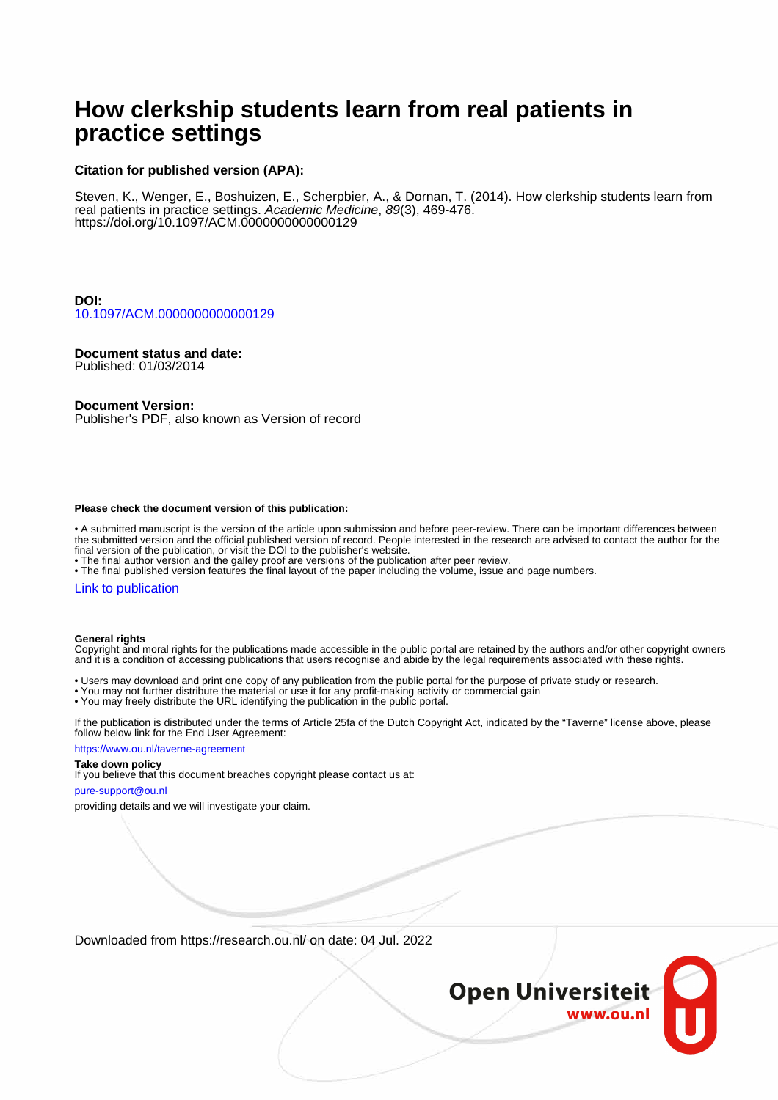# **How clerkship students learn from real patients in practice settings**

#### **Citation for published version (APA):**

Steven, K., Wenger, E., Boshuizen, E., Scherpbier, A., & Dornan, T. (2014). How clerkship students learn from real patients in practice settings. Academic Medicine, 89(3), 469-476. <https://doi.org/10.1097/ACM.0000000000000129>

**DOI:** [10.1097/ACM.0000000000000129](https://doi.org/10.1097/ACM.0000000000000129)

## **Document status and date:**

Published: 01/03/2014

#### **Document Version:**

Publisher's PDF, also known as Version of record

#### **Please check the document version of this publication:**

• A submitted manuscript is the version of the article upon submission and before peer-review. There can be important differences between the submitted version and the official published version of record. People interested in the research are advised to contact the author for the final version of the publication, or visit the DOI to the publisher's website.

• The final author version and the galley proof are versions of the publication after peer review.

• The final published version features the final layout of the paper including the volume, issue and page numbers.

#### [Link to publication](https://research.ou.nl/en/publications/9bd1d320-3a77-450e-ac37-28cd32d169e1)

#### **General rights**

Copyright and moral rights for the publications made accessible in the public portal are retained by the authors and/or other copyright owners and it is a condition of accessing publications that users recognise and abide by the legal requirements associated with these rights.

- Users may download and print one copy of any publication from the public portal for the purpose of private study or research.
- You may not further distribute the material or use it for any profit-making activity or commercial gain
- You may freely distribute the URL identifying the publication in the public portal.

If the publication is distributed under the terms of Article 25fa of the Dutch Copyright Act, indicated by the "Taverne" license above, please follow below link for the End User Agreement:

#### https://www.ou.nl/taverne-agreement

## **Take down policy**

If you believe that this document breaches copyright please contact us at:

#### pure-support@ou.nl

providing details and we will investigate your claim.

Downloaded from https://research.ou.nl/ on date: 04 Jul. 2022

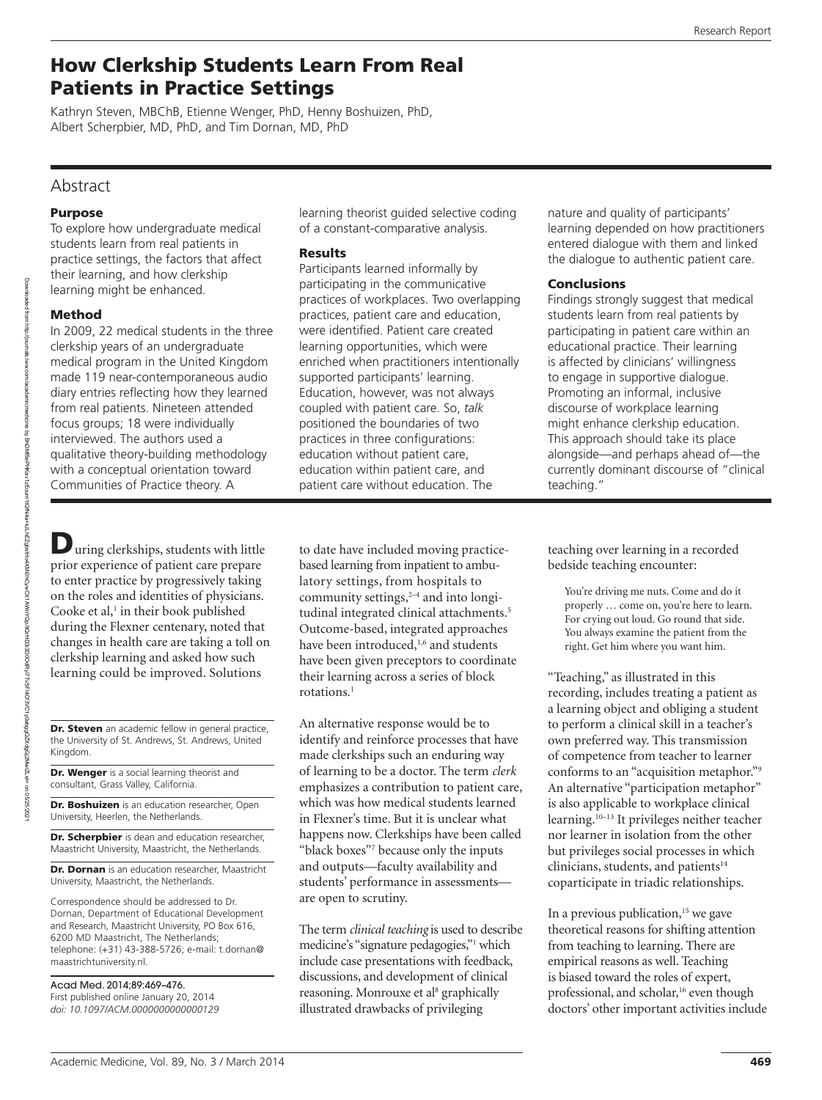## How Clerkship Students Learn From Real Patients in Practice Settings

Kathryn Steven, MBChB, Etienne Wenger, PhD, Henny Boshuizen, PhD, Albert Scherpbier, MD, PhD, and Tim Dornan, MD, PhD

## Abstract

#### Purpose

To explore how undergraduate medical students learn from real patients in practice settings, the factors that affect their learning, and how clerkship learning might be enhanced.

#### Method

In 2009, 22 medical students in the three clerkship years of an undergraduate medical program in the United Kingdom made 119 near-contemporaneous audio diary entries reflecting how they learned from real patients. Nineteen attended focus groups; 18 were individually interviewed. The authors used a qualitative theory-building methodology with a conceptual orientation toward Communities of Practice theory. A

uring clerkships, students with little prior experience of patient care prepare to enter practice by progressively taking on the roles and identities of physicians. Cooke et al,<sup>1</sup> in their book published during the Flexner centenary, noted that changes in health care are taking a toll on clerkship learning and asked how such learning could be improved. Solutions

Dr. Steven an academic fellow in general practice, the University of St. Andrews, St. Andrews, United Kingdom.

Dr. Wenger is a social learning theorist and consultant, Grass Valley, California.

Dr. Boshuizen is an education researcher, Open University, Heerlen, the Netherlands.

Dr. Scherpbier is dean and education researcher. Maastricht University, Maastricht, the Netherlands.

Dr. Dornan is an education researcher, Maastricht University, Maastricht, the Netherlands.

Correspondence should be addressed to Dr. Dornan, Department of Educational Development and Research, Maastricht University, PO Box 616, 6200 MD Maastricht, The Netherlands; telephone: (+31) 43-388-5726; e-mail: [t.dornan@](mailto:t.dornan@maastrichtuniversity.nl) [maastrichtuniversity.nl](mailto:t.dornan@maastrichtuniversity.nl).

Acad Med. 2014;89:469–476. First published online January 20, 2014 *doi: 10.1097/ACM.0000000000000129* learning theorist guided selective coding of a constant-comparative analysis.

#### Results

Participants learned informally by participating in the communicative practices of workplaces. Two overlapping practices, patient care and education, were identified. Patient care created learning opportunities, which were enriched when practitioners intentionally supported participants' learning. Education, however, was not always coupled with patient care. So, *talk* positioned the boundaries of two practices in three configurations: education without patient care, education within patient care, and patient care without education. The

to date have included moving practicebased learning from inpatient to ambulatory settings, from hospitals to community settings, $2-4$  and into longitudinal integrated clinical attachments.<sup>5</sup> Outcome-based, integrated approaches have been introduced,<sup>1,6</sup> and students have been given preceptors to coordinate their learning across a series of block rotations.1

An alternative response would be to identify and reinforce processes that have made clerkships such an enduring way of learning to be a doctor. The term *clerk* emphasizes a contribution to patient care, which was how medical students learned in Flexner's time. But it is unclear what happens now. Clerkships have been called "black boxes"<sup>7</sup> because only the inputs and outputs—faculty availability and students' performance in assessments are open to scrutiny.

The term *clinical teaching* is used to describe medicine's "signature pedagogies,"1 which include case presentations with feedback, discussions, and development of clinical reasoning. Monrouxe et al<sup>8</sup> graphically illustrated drawbacks of privileging

nature and quality of participants' learning depended on how practitioners entered dialogue with them and linked the dialogue to authentic patient care.

### **Conclusions**

Findings strongly suggest that medical students learn from real patients by participating in patient care within an educational practice. Their learning is affected by clinicians' willingness to engage in supportive dialogue. Promoting an informal, inclusive discourse of workplace learning might enhance clerkship education. This approach should take its place alongside—and perhaps ahead of—the currently dominant discourse of "clinical teaching."

teaching over learning in a recorded bedside teaching encounter:

You're driving me nuts. Come and do it properly … come on, you're here to learn. For crying out loud. Go round that side. You always examine the patient from the right. Get him where you want him.

"Teaching," as illustrated in this recording, includes treating a patient as a learning object and obliging a student to perform a clinical skill in a teacher's own preferred way. This transmission of competence from teacher to learner conforms to an "acquisition metaphor."9 An alternative "participation metaphor" is also applicable to workplace clinical learning.10–13 It privileges neither teacher nor learner in isolation from the other but privileges social processes in which clinicians, students, and patients<sup>14</sup> coparticipate in triadic relationships.

In a previous publication, $15$  we gave theoretical reasons for shifting attention from teaching to learning. There are empirical reasons as well. Teaching is biased toward the roles of expert, professional, and scholar,<sup>16</sup> even though doctors' other important activities include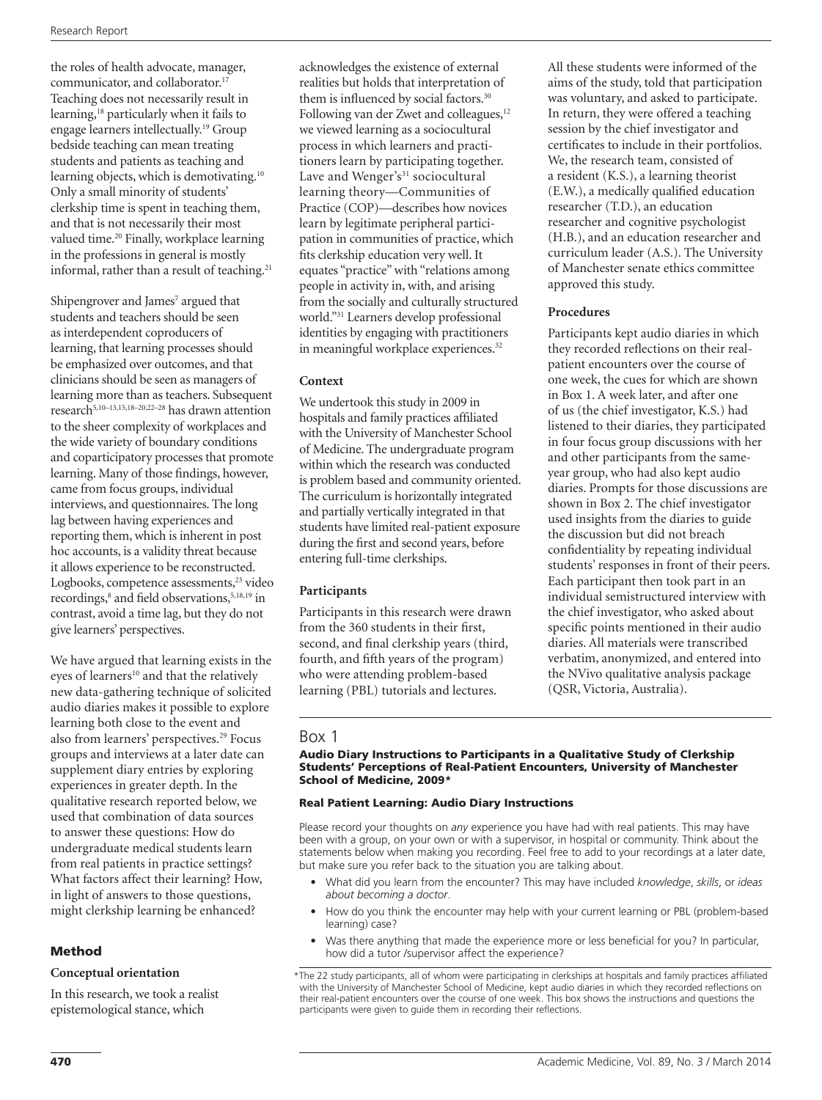the roles of health advocate, manager, communicator, and collaborator.<sup>17</sup> Teaching does not necessarily result in learning,<sup>18</sup> particularly when it fails to engage learners intellectually.19 Group bedside teaching can mean treating students and patients as teaching and learning objects, which is demotivating.<sup>10</sup> Only a small minority of students' clerkship time is spent in teaching them, and that is not necessarily their most valued time.<sup>20</sup> Finally, workplace learning in the professions in general is mostly informal, rather than a result of teaching.<sup>21</sup>

Shipengrover and James<sup>7</sup> argued that students and teachers should be seen as interdependent coproducers of learning, that learning processes should be emphasized over outcomes, and that clinicians should be seen as managers of learning more than as teachers. Subsequent research5,10–13,15,18–20,22–28 has drawn attention to the sheer complexity of workplaces and the wide variety of boundary conditions and coparticipatory processes that promote learning. Many of those findings, however, came from focus groups, individual interviews, and questionnaires. The long lag between having experiences and reporting them, which is inherent in post hoc accounts, is a validity threat because it allows experience to be reconstructed. Logbooks, competence assessments,<sup>23</sup> video recordings,<sup>8</sup> and field observations,<sup>5,18,19</sup> in contrast, avoid a time lag, but they do not give learners' perspectives.

We have argued that learning exists in the eyes of learners<sup>10</sup> and that the relatively new data-gathering technique of solicited audio diaries makes it possible to explore learning both close to the event and also from learners' perspectives.29 Focus groups and interviews at a later date can supplement diary entries by exploring experiences in greater depth. In the qualitative research reported below, we used that combination of data sources to answer these questions: How do undergraduate medical students learn from real patients in practice settings? What factors affect their learning? How, in light of answers to those questions, might clerkship learning be enhanced?

### Method

### **Conceptual orientation**

In this research, we took a realist epistemological stance, which

acknowledges the existence of external realities but holds that interpretation of them is influenced by social factors.<sup>30</sup> Following van der Zwet and colleagues,<sup>12</sup> we viewed learning as a sociocultural process in which learners and practitioners learn by participating together. Lave and Wenger's<sup>31</sup> sociocultural learning theory—Communities of Practice (COP)—describes how novices learn by legitimate peripheral participation in communities of practice, which fits clerkship education very well. It equates "practice" with "relations among people in activity in, with, and arising from the socially and culturally structured world."31 Learners develop professional identities by engaging with practitioners in meaningful workplace experiences.<sup>32</sup>

## **Context**

We undertook this study in 2009 in hospitals and family practices affiliated with the University of Manchester School of Medicine. The undergraduate program within which the research was conducted is problem based and community oriented. The curriculum is horizontally integrated and partially vertically integrated in that students have limited real-patient exposure during the first and second years, before entering full-time clerkships.

## **Participants**

Participants in this research were drawn from the 360 students in their first, second, and final clerkship years (third, fourth, and fifth years of the program) who were attending problem-based learning (PBL) tutorials and lectures.

All these students were informed of the aims of the study, told that participation was voluntary, and asked to participate. In return, they were offered a teaching session by the chief investigator and certificates to include in their portfolios. We, the research team, consisted of a resident (K.S.), a learning theorist (E.W.), a medically qualified education researcher (T.D.), an education researcher and cognitive psychologist (H.B.), and an education researcher and curriculum leader (A.S.). The University of Manchester senate ethics committee approved this study.

## **Procedures**

Participants kept audio diaries in which they recorded reflections on their realpatient encounters over the course of one week, the cues for which are shown in Box 1. A week later, and after one of us (the chief investigator, K.S.) had listened to their diaries, they participated in four focus group discussions with her and other participants from the sameyear group, who had also kept audio diaries. Prompts for those discussions are shown in Box 2. The chief investigator used insights from the diaries to guide the discussion but did not breach confidentiality by repeating individual students' responses in front of their peers. Each participant then took part in an individual semistructured interview with the chief investigator, who asked about specific points mentioned in their audio diaries. All materials were transcribed verbatim, anonymized, and entered into the NVivo qualitative analysis package (QSR, Victoria, Australia).

## Box 1

#### Audio Diary Instructions to Participants in a Qualitative Study of Clerkship Students' Perceptions of Real-Patient Encounters, University of Manchester School of Medicine, 2009\*

### Real Patient Learning: Audio Diary Instructions

Please record your thoughts on *any* experience you have had with real patients. This may have been with a group, on your own or with a supervisor, in hospital or community. Think about the statements below when making you recording. Feel free to add to your recordings at a later date, but make sure you refer back to the situation you are talking about.

- • What did you learn from the encounter? This may have included *knowledge*, *skills*, or *ideas about becoming a doctor*.
- How do you think the encounter may help with your current learning or PBL (problem-based learning) case?
- Was there anything that made the experience more or less beneficial for you? In particular, how did a tutor /supervisor affect the experience?

<sup>\*</sup>The 22 study participants, all of whom were participating in clerkships at hospitals and family practices affiliated with the University of Manchester School of Medicine, kept audio diaries in which they recorded reflections on their real-patient encounters over the course of one week. This box shows the instructions and questions the participants were given to guide them in recording their reflections.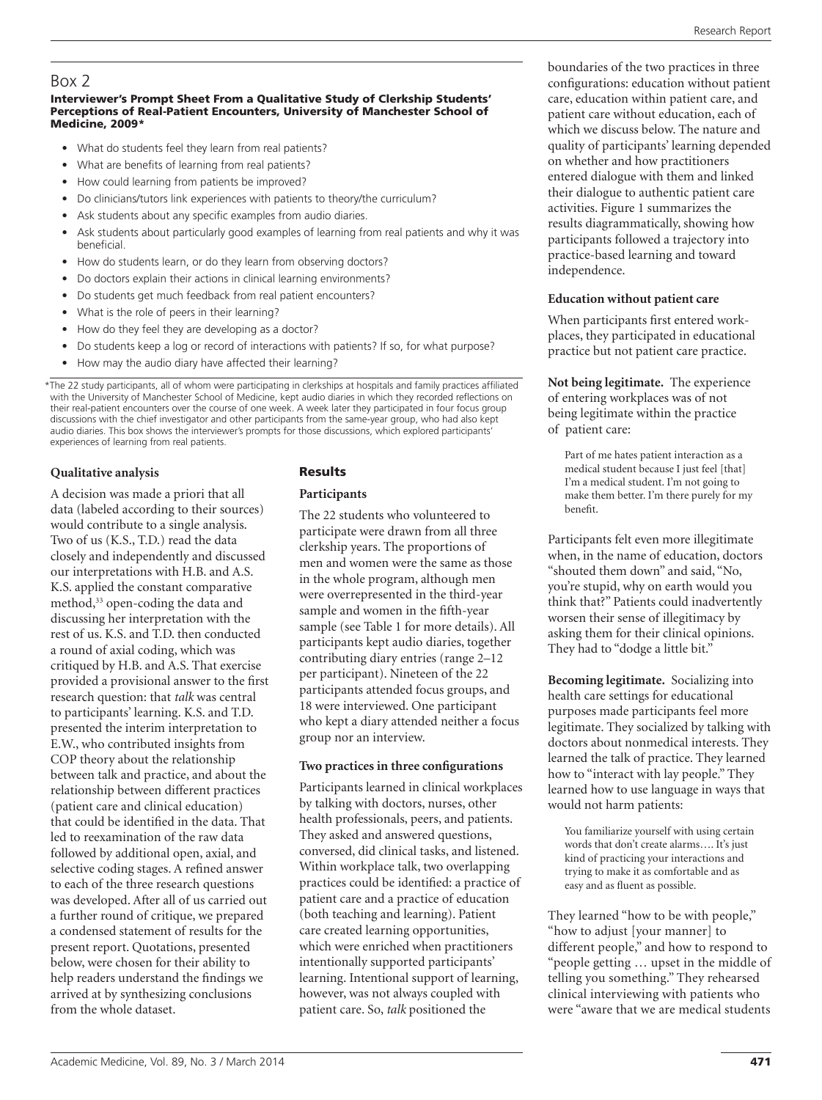## Box 2

#### Interviewer's Prompt Sheet From a Qualitative Study of Clerkship Students' Perceptions of Real-Patient Encounters, University of Manchester School of Medicine, 2009\*

- What do students feel they learn from real patients?
- What are benefits of learning from real patients?
- How could learning from patients be improved?
- Do clinicians/tutors link experiences with patients to theory/the curriculum?
- Ask students about any specific examples from audio diaries.
- Ask students about particularly good examples of learning from real patients and why it was beneficial.
- How do students learn, or do they learn from observing doctors?
- Do doctors explain their actions in clinical learning environments?
- Do students get much feedback from real patient encounters?
- What is the role of peers in their learning?
- How do they feel they are developing as a doctor?
- Do students keep a log or record of interactions with patients? If so, for what purpose?
- How may the audio diary have affected their learning?

\*The 22 study participants, all of whom were participating in clerkships at hospitals and family practices affiliated with the University of Manchester School of Medicine, kept audio diaries in which they recorded reflections on their real-patient encounters over the course of one week. A week later they participated in four focus group discussions with the chief investigator and other participants from the same-year group, who had also kept audio diaries. This box shows the interviewer's prompts for those discussions, which explored participants' experiences of learning from real patients.

## **Qualitative analysis**

A decision was made a priori that all data (labeled according to their sources) would contribute to a single analysis. Two of us (K.S., T.D.) read the data closely and independently and discussed our interpretations with H.B. and A.S. K.S. applied the constant comparative method,<sup>33</sup> open-coding the data and discussing her interpretation with the rest of us. K.S. and T.D. then conducted a round of axial coding, which was critiqued by H.B. and A.S. That exercise provided a provisional answer to the first research question: that *talk* was central to participants' learning. K.S. and T.D. presented the interim interpretation to E.W., who contributed insights from COP theory about the relationship between talk and practice, and about the relationship between different practices (patient care and clinical education) that could be identified in the data. That led to reexamination of the raw data followed by additional open, axial, and selective coding stages. A refined answer to each of the three research questions was developed. After all of us carried out a further round of critique, we prepared a condensed statement of results for the present report. Quotations, presented below, were chosen for their ability to help readers understand the findings we arrived at by synthesizing conclusions from the whole dataset.

### **Results**

#### **Participants**

The 22 students who volunteered to participate were drawn from all three clerkship years. The proportions of men and women were the same as those in the whole program, although men were overrepresented in the third-year sample and women in the fifth-year sample (see Table 1 for more details). All participants kept audio diaries, together contributing diary entries (range 2–12 per participant). Nineteen of the 22 participants attended focus groups, and 18 were interviewed. One participant who kept a diary attended neither a focus group nor an interview.

### **Two practices in three configurations**

Participants learned in clinical workplaces by talking with doctors, nurses, other health professionals, peers, and patients. They asked and answered questions, conversed, did clinical tasks, and listened. Within workplace talk, two overlapping practices could be identified: a practice of patient care and a practice of education (both teaching and learning). Patient care created learning opportunities, which were enriched when practitioners intentionally supported participants' learning. Intentional support of learning, however, was not always coupled with patient care. So, *talk* positioned the

boundaries of the two practices in three configurations: education without patient care, education within patient care, and patient care without education, each of which we discuss below. The nature and quality of participants' learning depended on whether and how practitioners entered dialogue with them and linked their dialogue to authentic patient care activities. Figure 1 summarizes the results diagrammatically, showing how participants followed a trajectory into practice-based learning and toward independence.

### **Education without patient care**

When participants first entered workplaces, they participated in educational practice but not patient care practice.

**Not being legitimate.** The experience of entering workplaces was of not being legitimate within the practice of patient care:

Part of me hates patient interaction as a medical student because I just feel [that] I'm a medical student. I'm not going to make them better. I'm there purely for my benefit.

Participants felt even more illegitimate when, in the name of education, doctors "shouted them down" and said, "No, you're stupid, why on earth would you think that?" Patients could inadvertently worsen their sense of illegitimacy by asking them for their clinical opinions. They had to "dodge a little bit."

**Becoming legitimate.** Socializing into health care settings for educational purposes made participants feel more legitimate. They socialized by talking with doctors about nonmedical interests. They learned the talk of practice. They learned how to "interact with lay people." They learned how to use language in ways that would not harm patients:

You familiarize yourself with using certain words that don't create alarms…. It's just kind of practicing your interactions and trying to make it as comfortable and as easy and as fluent as possible.

They learned "how to be with people," "how to adjust [your manner] to different people," and how to respond to "people getting … upset in the middle of telling you something." They rehearsed clinical interviewing with patients who were "aware that we are medical students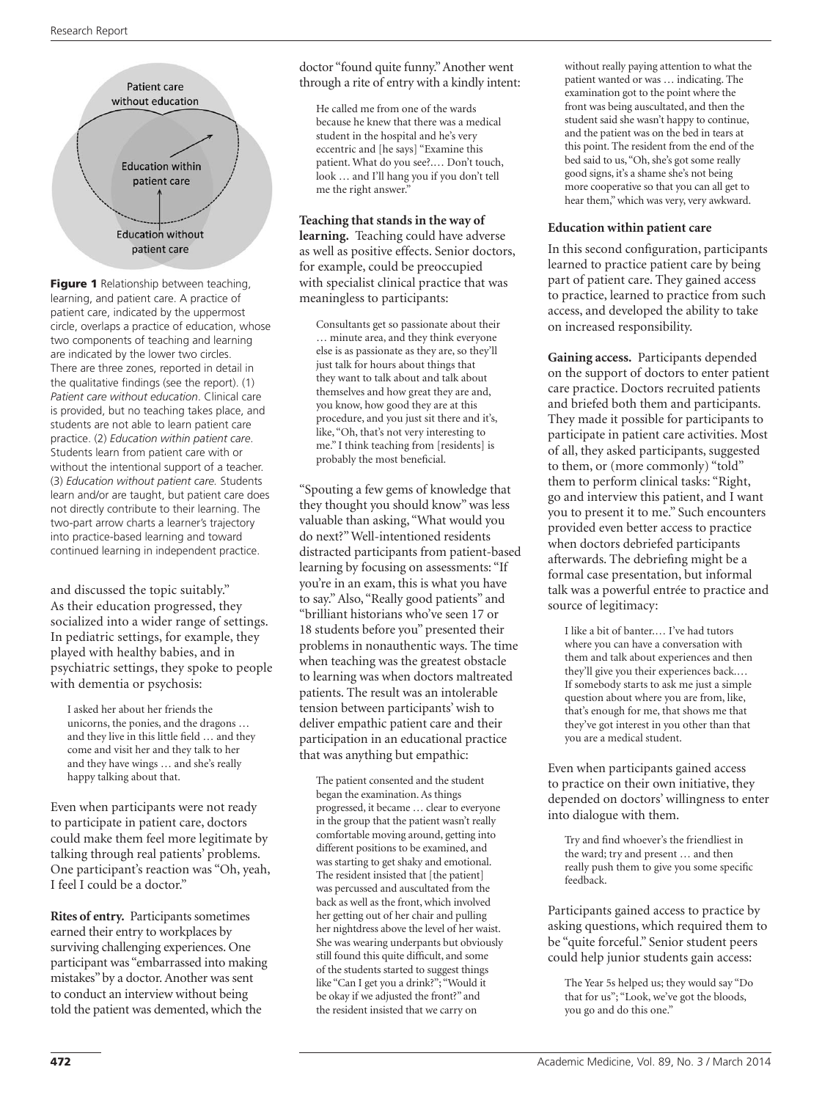

Figure 1 Relationship between teaching, learning, and patient care. A practice of patient care, indicated by the uppermost circle, overlaps a practice of education, whose two components of teaching and learning are indicated by the lower two circles. There are three zones, reported in detail in the qualitative findings (see the report). (1) *Patient care without education*. Clinical care is provided, but no teaching takes place, and students are not able to learn patient care practice. (2) *Education within patient care*. Students learn from patient care with or without the intentional support of a teacher. (3) *Education without patient care.* Students learn and/or are taught, but patient care does not directly contribute to their learning. The two-part arrow charts a learner's trajectory into practice-based learning and toward continued learning in independent practice.

and discussed the topic suitably." As their education progressed, they socialized into a wider range of settings. In pediatric settings, for example, they played with healthy babies, and in psychiatric settings, they spoke to people with dementia or psychosis:

I asked her about her friends the unicorns, the ponies, and the dragons … and they live in this little field … and they come and visit her and they talk to her and they have wings … and she's really happy talking about that.

Even when participants were not ready to participate in patient care, doctors could make them feel more legitimate by talking through real patients' problems. One participant's reaction was "Oh, yeah, I feel I could be a doctor."

**Rites of entry.** Participants sometimes earned their entry to workplaces by surviving challenging experiences. One participant was "embarrassed into making mistakes" by a doctor. Another was sent to conduct an interview without being told the patient was demented, which the

#### doctor "found quite funny." Another went through a rite of entry with a kindly intent:

He called me from one of the wards because he knew that there was a medical student in the hospital and he's very eccentric and [he says] "Examine this patient. What do you see?.… Don't touch, look … and I'll hang you if you don't tell me the right answer."

### **Teaching that stands in the way of**

**learning.** Teaching could have adverse as well as positive effects. Senior doctors, for example, could be preoccupied with specialist clinical practice that was meaningless to participants:

Consultants get so passionate about their … minute area, and they think everyone else is as passionate as they are, so they'll just talk for hours about things that they want to talk about and talk about themselves and how great they are and, you know, how good they are at this procedure, and you just sit there and it's, like, "Oh, that's not very interesting to me." I think teaching from [residents] is probably the most beneficial.

"Spouting a few gems of knowledge that they thought you should know" was less valuable than asking, "What would you do next?" Well-intentioned residents distracted participants from patient-based learning by focusing on assessments: "If you're in an exam, this is what you have to say." Also, "Really good patients" and "brilliant historians who've seen 17 or 18 students before you" presented their problems in nonauthentic ways. The time when teaching was the greatest obstacle to learning was when doctors maltreated patients. The result was an intolerable tension between participants' wish to deliver empathic patient care and their participation in an educational practice that was anything but empathic:

The patient consented and the student began the examination. As things progressed, it became … clear to everyone in the group that the patient wasn't really comfortable moving around, getting into different positions to be examined, and was starting to get shaky and emotional. The resident insisted that [the patient] was percussed and auscultated from the back as well as the front, which involved her getting out of her chair and pulling her nightdress above the level of her waist. She was wearing underpants but obviously still found this quite difficult, and some of the students started to suggest things like "Can I get you a drink?"; "Would it be okay if we adjusted the front?" and the resident insisted that we carry on

without really paying attention to what the patient wanted or was … indicating. The examination got to the point where the front was being auscultated, and then the student said she wasn't happy to continue, and the patient was on the bed in tears at this point. The resident from the end of the bed said to us, "Oh, she's got some really good signs, it's a shame she's not being more cooperative so that you can all get to hear them," which was very, very awkward.

#### **Education within patient care**

In this second configuration, participants learned to practice patient care by being part of patient care. They gained access to practice, learned to practice from such access, and developed the ability to take on increased responsibility.

**Gaining access.** Participants depended on the support of doctors to enter patient care practice. Doctors recruited patients and briefed both them and participants. They made it possible for participants to participate in patient care activities. Most of all, they asked participants, suggested to them, or (more commonly) "told" them to perform clinical tasks: "Right, go and interview this patient, and I want you to present it to me." Such encounters provided even better access to practice when doctors debriefed participants afterwards. The debriefing might be a formal case presentation, but informal talk was a powerful entrée to practice and source of legitimacy:

I like a bit of banter.… I've had tutors where you can have a conversation with them and talk about experiences and then they'll give you their experiences back.… If somebody starts to ask me just a simple question about where you are from, like, that's enough for me, that shows me that they've got interest in you other than that you are a medical student.

Even when participants gained access to practice on their own initiative, they depended on doctors' willingness to enter into dialogue with them.

Try and find whoever's the friendliest in the ward; try and present … and then really push them to give you some specific feedback.

Participants gained access to practice by asking questions, which required them to be "quite forceful." Senior student peers could help junior students gain access:

The Year 5s helped us; they would say "Do that for us"; "Look, we've got the bloods, you go and do this one."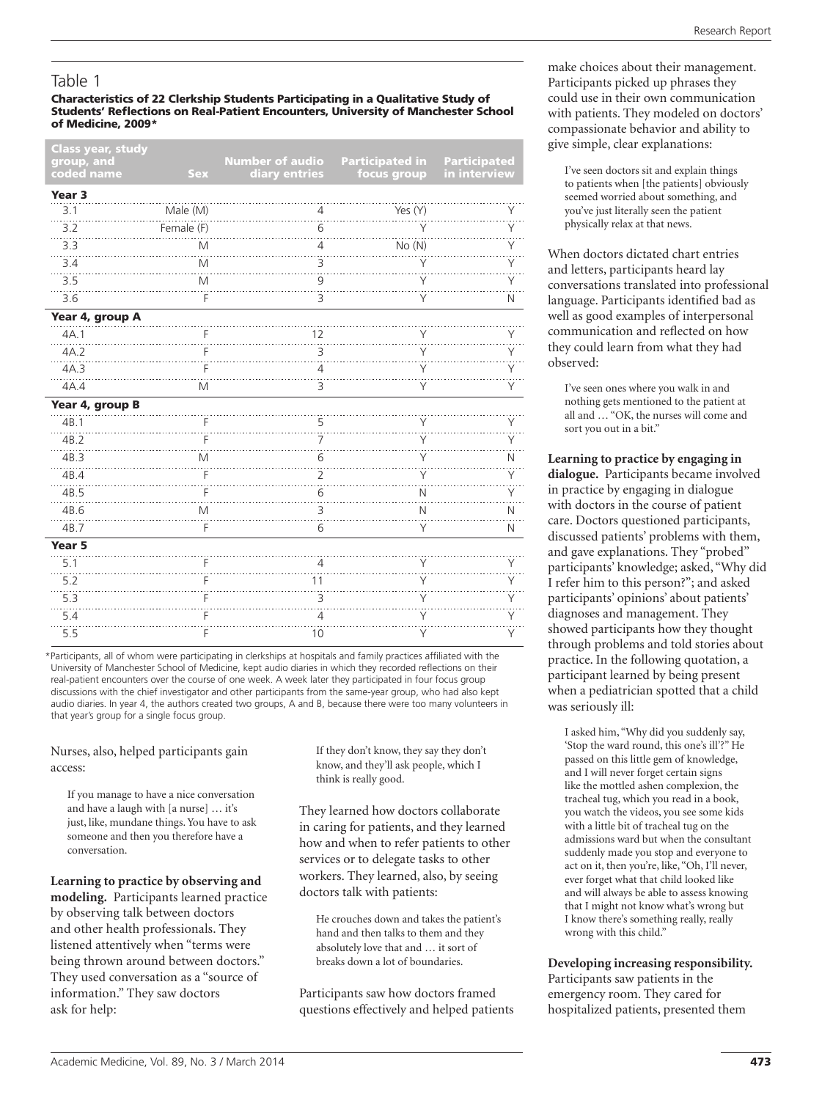## Table 1

#### Characteristics of 22 Clerkship Students Participating in a Qualitative Study of Students' Reflections on Real-Patient Encounters, University of Manchester School of Medicine, 2009\*

| Class year, study<br>group, and<br>coded name | <b>Sex</b> | <b>Number of audio</b><br>diary entries | <b>Participated in</b><br>focus group | <b>Participated</b><br>in interview |
|-----------------------------------------------|------------|-----------------------------------------|---------------------------------------|-------------------------------------|
| Year <sub>3</sub>                             |            |                                         |                                       |                                     |
| 3.1                                           | Male (M)   | 4                                       | Yes (Y)                               | Y                                   |
| 3.2                                           | Female (F) | 6                                       | Υ                                     | Υ                                   |
| 3.3                                           | M          | 4                                       | No(N)                                 | Υ                                   |
| 3.4                                           | M          | ξ                                       |                                       | Υ                                   |
| 3.5                                           | M          | 9                                       | Υ                                     | Υ                                   |
| 3.6                                           | F          | 3                                       | Υ                                     | N                                   |
| Year 4, group A                               |            |                                         |                                       |                                     |
| 4A.1                                          | F          | 12                                      |                                       | Υ                                   |
| 4A.2                                          | F          | 3                                       | Υ                                     | Υ                                   |
| 4A.3                                          | F          | 4                                       |                                       | Υ                                   |
| 4A.4                                          | M          | 3                                       | Υ                                     | Y                                   |
| Year 4, group B                               |            |                                         |                                       |                                     |
| 4B.1                                          | F          | 5                                       |                                       | Υ                                   |
| 4B.2                                          | F          | 7                                       |                                       | Υ                                   |
| 4B.3                                          | M          | 6                                       |                                       | N                                   |
| 4B.4                                          | F          | 2                                       |                                       | Υ                                   |
| 48.5                                          | F          | 6                                       | N                                     | Υ                                   |
| 4B.6                                          | M          | 3                                       | N                                     | N                                   |
| 4B.7                                          | F          | 6                                       | Υ                                     | N                                   |
| Year 5                                        |            |                                         |                                       |                                     |
| 5.1                                           | F          | 4                                       | Υ                                     | Y                                   |
| 5.2                                           |            | 11                                      | Y                                     | Υ                                   |
| 5.3                                           |            | 3                                       |                                       | Υ                                   |
| 5.4                                           | F          | $\overline{4}$                          | Y                                     | Υ                                   |
| 5.5                                           | F          | 10                                      | Υ                                     | Υ                                   |

\*Participants, all of whom were participating in clerkships at hospitals and family practices affiliated with the University of Manchester School of Medicine, kept audio diaries in which they recorded reflections on their real-patient encounters over the course of one week. A week later they participated in four focus group discussions with the chief investigator and other participants from the same-year group, who had also kept audio diaries. In year 4, the authors created two groups, A and B, because there were too many volunteers in that year's group for a single focus group.

Nurses, also, helped participants gain access:

If you manage to have a nice conversation and have a laugh with [a nurse] … it's just, like, mundane things. You have to ask someone and then you therefore have a conversation.

**Learning to practice by observing and modeling.** Participants learned practice by observing talk between doctors and other health professionals. They listened attentively when "terms were being thrown around between doctors." They used conversation as a "source of information." They saw doctors ask for help:

If they don't know, they say they don't know, and they'll ask people, which I think is really good.

They learned how doctors collaborate in caring for patients, and they learned how and when to refer patients to other services or to delegate tasks to other workers. They learned, also, by seeing doctors talk with patients:

He crouches down and takes the patient's hand and then talks to them and they absolutely love that and … it sort of breaks down a lot of boundaries.

Participants saw how doctors framed questions effectively and helped patients make choices about their management. Participants picked up phrases they could use in their own communication with patients. They modeled on doctors' compassionate behavior and ability to give simple, clear explanations:

I've seen doctors sit and explain things to patients when [the patients] obviously seemed worried about something, and you've just literally seen the patient physically relax at that news.

When doctors dictated chart entries and letters, participants heard lay conversations translated into professional language. Participants identified bad as well as good examples of interpersonal communication and reflected on how they could learn from what they had observed:

I've seen ones where you walk in and nothing gets mentioned to the patient at all and … "OK, the nurses will come and sort you out in a bit."

**Learning to practice by engaging in dialogue.** Participants became involved in practice by engaging in dialogue with doctors in the course of patient care. Doctors questioned participants, discussed patients' problems with them, and gave explanations. They "probed" participants' knowledge; asked, "Why did I refer him to this person?"; and asked participants' opinions' about patients' diagnoses and management. They showed participants how they thought through problems and told stories about practice. In the following quotation, a participant learned by being present when a pediatrician spotted that a child was seriously ill:

I asked him, "Why did you suddenly say, 'Stop the ward round, this one's ill'?" He passed on this little gem of knowledge, and I will never forget certain signs like the mottled ashen complexion, the tracheal tug, which you read in a book, you watch the videos, you see some kids with a little bit of tracheal tug on the admissions ward but when the consultant suddenly made you stop and everyone to act on it, then you're, like, "Oh, I'll never, ever forget what that child looked like and will always be able to assess knowing that I might not know what's wrong but I know there's something really, really wrong with this child."

**Developing increasing responsibility.** Participants saw patients in the emergency room. They cared for hospitalized patients, presented them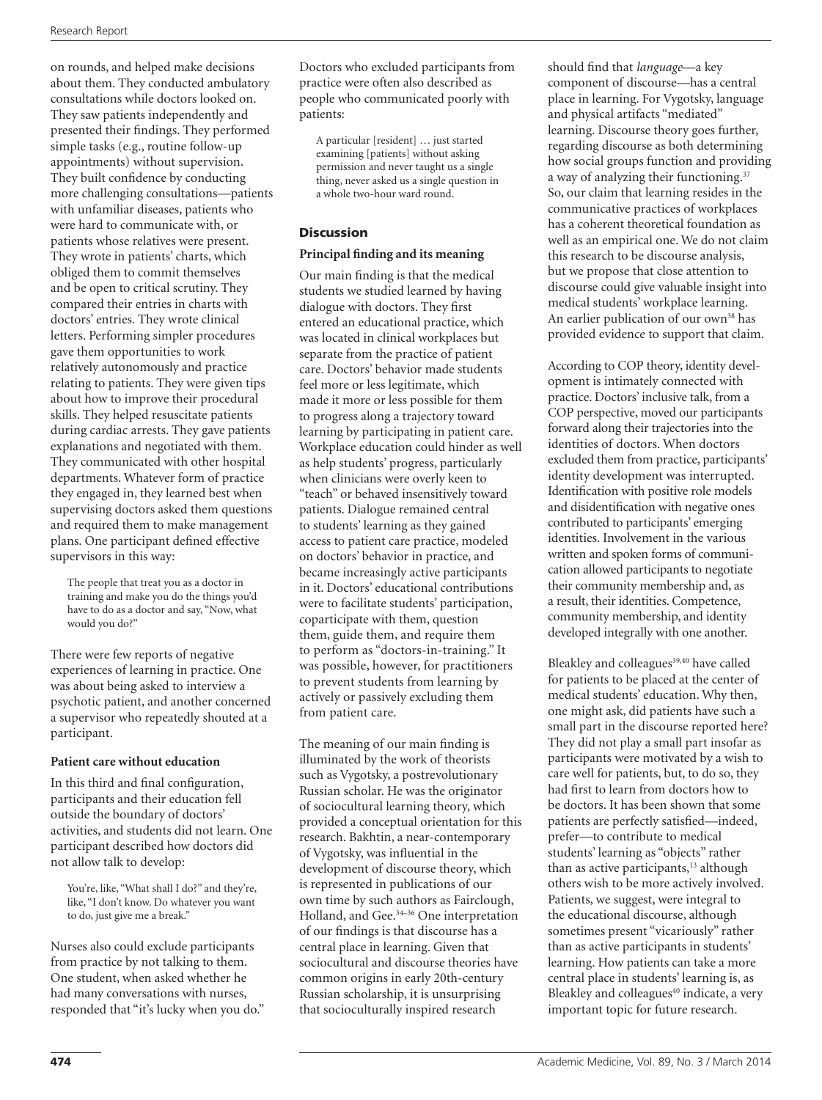on rounds, and helped make decisions about them. They conducted ambulatory consultations while doctors looked on. They saw patients independently and presented their findings. They performed simple tasks (e.g., routine follow-up appointments) without supervision. They built confidence by conducting more challenging consultations—patients with unfamiliar diseases, patients who were hard to communicate with, or patients whose relatives were present. They wrote in patients' charts, which obliged them to commit themselves and be open to critical scrutiny. They compared their entries in charts with doctors' entries. They wrote clinical letters. Performing simpler procedures gave them opportunities to work relatively autonomously and practice relating to patients. They were given tips about how to improve their procedural skills. They helped resuscitate patients during cardiac arrests. They gave patients explanations and negotiated with them. They communicated with other hospital departments. Whatever form of practice they engaged in, they learned best when supervising doctors asked them questions and required them to make management plans. One participant defined effective supervisors in this way:

The people that treat you as a doctor in training and make you do the things you'd have to do as a doctor and say, "Now, what would you do?"

There were few reports of negative experiences of learning in practice. One was about being asked to interview a psychotic patient, and another concerned a supervisor who repeatedly shouted at a participant.

### **Patient care without education**

In this third and final configuration, participants and their education fell outside the boundary of doctors' activities, and students did not learn. One participant described how doctors did not allow talk to develop:

You're, like, "What shall I do?" and they're, like, "I don't know. Do whatever you want to do, just give me a break."

Nurses also could exclude participants from practice by not talking to them. One student, when asked whether he had many conversations with nurses, responded that "it's lucky when you do." Doctors who excluded participants from practice were often also described as people who communicated poorly with patients:

A particular [resident] … just started examining [patients] without asking permission and never taught us a single thing, never asked us a single question in a whole two-hour ward round.

## Discussion

### **Principal finding and its meaning**

Our main finding is that the medical students we studied learned by having dialogue with doctors. They first entered an educational practice, which was located in clinical workplaces but separate from the practice of patient care. Doctors' behavior made students feel more or less legitimate, which made it more or less possible for them to progress along a trajectory toward learning by participating in patient care. Workplace education could hinder as well as help students' progress, particularly when clinicians were overly keen to "teach" or behaved insensitively toward patients. Dialogue remained central to students' learning as they gained access to patient care practice, modeled on doctors' behavior in practice, and became increasingly active participants in it. Doctors' educational contributions were to facilitate students' participation, coparticipate with them, question them, guide them, and require them to perform as "doctors-in-training." It was possible, however, for practitioners to prevent students from learning by actively or passively excluding them from patient care.

The meaning of our main finding is illuminated by the work of theorists such as Vygotsky, a postrevolutionary Russian scholar. He was the originator of sociocultural learning theory, which provided a conceptual orientation for this research. Bakhtin, a near-contemporary of Vygotsky, was influential in the development of discourse theory, which is represented in publications of our own time by such authors as Fairclough, Holland, and Gee.34–36 One interpretation of our findings is that discourse has a central place in learning. Given that sociocultural and discourse theories have common origins in early 20th-century Russian scholarship, it is unsurprising that socioculturally inspired research

should find that *language*—a key component of discourse—has a central place in learning. For Vygotsky, language and physical artifacts "mediated" learning. Discourse theory goes further, regarding discourse as both determining how social groups function and providing a way of analyzing their functioning.37 So, our claim that learning resides in the communicative practices of workplaces has a coherent theoretical foundation as well as an empirical one. We do not claim this research to be discourse analysis, but we propose that close attention to discourse could give valuable insight into medical students' workplace learning. An earlier publication of our own<sup>38</sup> has provided evidence to support that claim.

According to COP theory, identity development is intimately connected with practice. Doctors' inclusive talk, from a COP perspective, moved our participants forward along their trajectories into the identities of doctors. When doctors excluded them from practice, participants' identity development was interrupted. Identification with positive role models and disidentification with negative ones contributed to participants' emerging identities. Involvement in the various written and spoken forms of communication allowed participants to negotiate their community membership and, as a result, their identities. Competence, community membership, and identity developed integrally with one another.

Bleakley and colleagues<sup>39,40</sup> have called for patients to be placed at the center of medical students' education. Why then, one might ask, did patients have such a small part in the discourse reported here? They did not play a small part insofar as participants were motivated by a wish to care well for patients, but, to do so, they had first to learn from doctors how to be doctors. It has been shown that some patients are perfectly satisfied—indeed, prefer—to contribute to medical students' learning as "objects" rather than as active participants, $13$  although others wish to be more actively involved. Patients, we suggest, were integral to the educational discourse, although sometimes present "vicariously" rather than as active participants in students' learning. How patients can take a more central place in students' learning is, as Bleakley and colleagues<sup>40</sup> indicate, a very important topic for future research.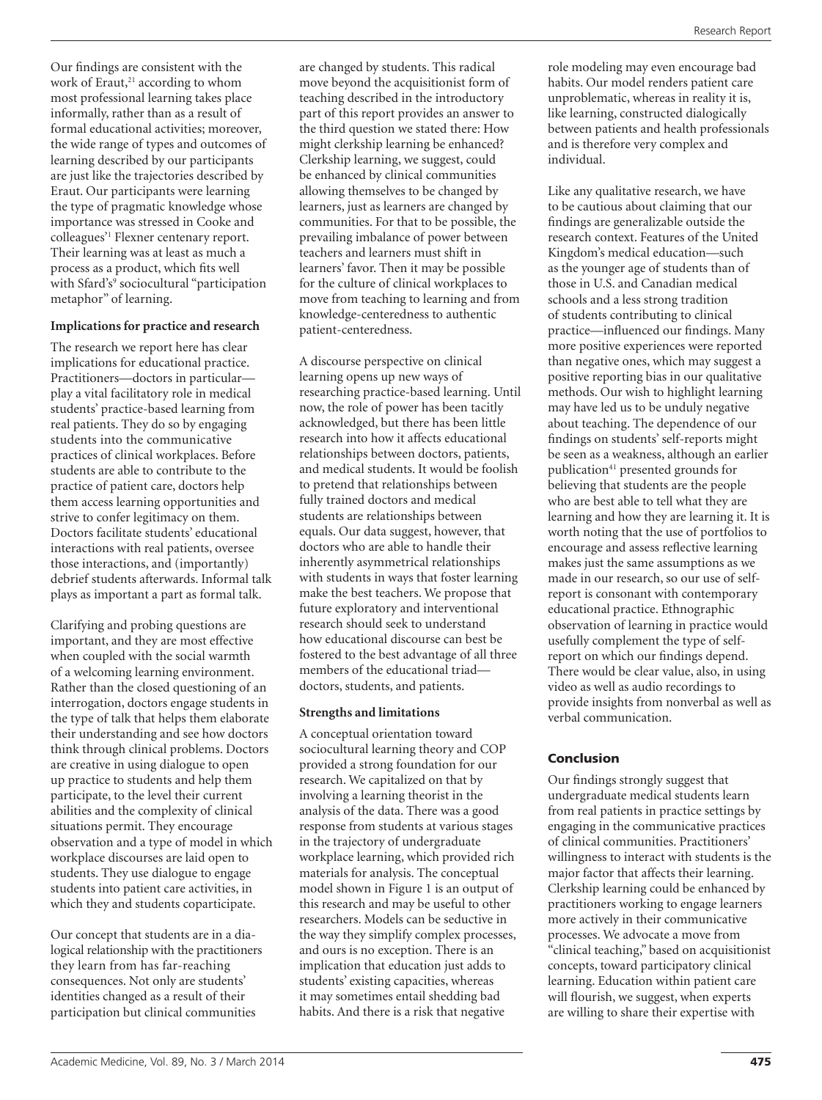Our findings are consistent with the work of Eraut,<sup>21</sup> according to whom most professional learning takes place informally, rather than as a result of formal educational activities; moreover, the wide range of types and outcomes of learning described by our participants are just like the trajectories described by Eraut. Our participants were learning the type of pragmatic knowledge whose importance was stressed in Cooke and colleagues'1 Flexner centenary report. Their learning was at least as much a process as a product, which fits well with Sfard's<sup>9</sup> sociocultural "participation metaphor" of learning.

#### **Implications for practice and research**

The research we report here has clear implications for educational practice. Practitioners—doctors in particular play a vital facilitatory role in medical students' practice-based learning from real patients. They do so by engaging students into the communicative practices of clinical workplaces. Before students are able to contribute to the practice of patient care, doctors help them access learning opportunities and strive to confer legitimacy on them. Doctors facilitate students' educational interactions with real patients, oversee those interactions, and (importantly) debrief students afterwards. Informal talk plays as important a part as formal talk.

Clarifying and probing questions are important, and they are most effective when coupled with the social warmth of a welcoming learning environment. Rather than the closed questioning of an interrogation, doctors engage students in the type of talk that helps them elaborate their understanding and see how doctors think through clinical problems. Doctors are creative in using dialogue to open up practice to students and help them participate, to the level their current abilities and the complexity of clinical situations permit. They encourage observation and a type of model in which workplace discourses are laid open to students. They use dialogue to engage students into patient care activities, in which they and students coparticipate.

Our concept that students are in a dialogical relationship with the practitioners they learn from has far-reaching consequences. Not only are students' identities changed as a result of their participation but clinical communities

are changed by students. This radical move beyond the acquisitionist form of teaching described in the introductory part of this report provides an answer to the third question we stated there: How might clerkship learning be enhanced? Clerkship learning, we suggest, could be enhanced by clinical communities allowing themselves to be changed by learners, just as learners are changed by communities. For that to be possible, the prevailing imbalance of power between teachers and learners must shift in learners' favor. Then it may be possible for the culture of clinical workplaces to move from teaching to learning and from knowledge-centeredness to authentic patient-centeredness.

A discourse perspective on clinical learning opens up new ways of researching practice-based learning. Until now, the role of power has been tacitly acknowledged, but there has been little research into how it affects educational relationships between doctors, patients, and medical students. It would be foolish to pretend that relationships between fully trained doctors and medical students are relationships between equals. Our data suggest, however, that doctors who are able to handle their inherently asymmetrical relationships with students in ways that foster learning make the best teachers. We propose that future exploratory and interventional research should seek to understand how educational discourse can best be fostered to the best advantage of all three members of the educational triad doctors, students, and patients.

#### **Strengths and limitations**

A conceptual orientation toward sociocultural learning theory and COP provided a strong foundation for our research. We capitalized on that by involving a learning theorist in the analysis of the data. There was a good response from students at various stages in the trajectory of undergraduate workplace learning, which provided rich materials for analysis. The conceptual model shown in Figure 1 is an output of this research and may be useful to other researchers. Models can be seductive in the way they simplify complex processes, and ours is no exception. There is an implication that education just adds to students' existing capacities, whereas it may sometimes entail shedding bad habits. And there is a risk that negative

role modeling may even encourage bad habits. Our model renders patient care unproblematic, whereas in reality it is, like learning, constructed dialogically between patients and health professionals and is therefore very complex and individual.

Like any qualitative research, we have to be cautious about claiming that our findings are generalizable outside the research context. Features of the United Kingdom's medical education—such as the younger age of students than of those in U.S. and Canadian medical schools and a less strong tradition of students contributing to clinical practice—influenced our findings. Many more positive experiences were reported than negative ones, which may suggest a positive reporting bias in our qualitative methods. Our wish to highlight learning may have led us to be unduly negative about teaching. The dependence of our findings on students' self-reports might be seen as a weakness, although an earlier publication<sup>41</sup> presented grounds for believing that students are the people who are best able to tell what they are learning and how they are learning it. It is worth noting that the use of portfolios to encourage and assess reflective learning makes just the same assumptions as we made in our research, so our use of selfreport is consonant with contemporary educational practice. Ethnographic observation of learning in practice would usefully complement the type of selfreport on which our findings depend. There would be clear value, also, in using video as well as audio recordings to provide insights from nonverbal as well as verbal communication.

## Conclusion

Our findings strongly suggest that undergraduate medical students learn from real patients in practice settings by engaging in the communicative practices of clinical communities. Practitioners' willingness to interact with students is the major factor that affects their learning. Clerkship learning could be enhanced by practitioners working to engage learners more actively in their communicative processes. We advocate a move from "clinical teaching," based on acquisitionist concepts, toward participatory clinical learning. Education within patient care will flourish, we suggest, when experts are willing to share their expertise with